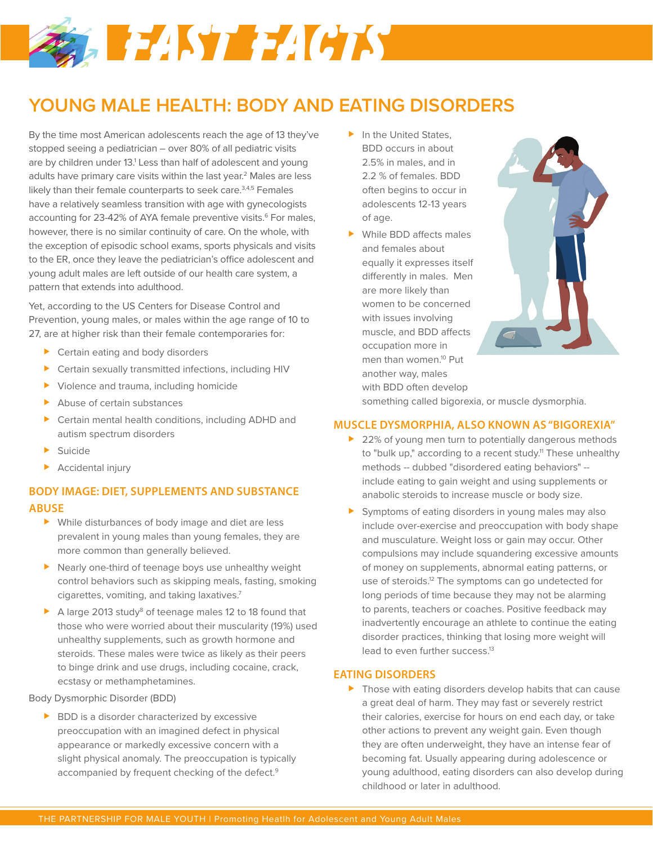# **S. FEAST FACTS**

# **YOUNG MALE HEALTH: BODY AND EATING DISORDERS**

By the time most American adolescents reach the age of 13 they've stopped seeing a pediatrician – over 80% of all pediatric visits are by children under 13.<sup>1</sup> Less than half of adolescent and young adults have primary care visits within the last year.<sup>2</sup> Males are less likely than their female counterparts to seek care.<sup>3,4,5</sup> Females have a relatively seamless transition with age with gynecologists accounting for 23-42% of AYA female preventive visits.<sup>6</sup> For males, however, there is no similar continuity of care. On the whole, with the exception of episodic school exams, sports physicals and visits to the ER, once they leave the pediatrician's office adolescent and young adult males are left outside of our health care system, a pattern that extends into adulthood.

Yet, according to the US Centers for Disease Control and Prevention, young males, or males within the age range of 10 to 27, are at higher risk than their female contemporaries for:

- ▶ Certain eating and body disorders
- Certain sexually transmitted infections, including HIV
- Violence and trauma, including homicide
- Abuse of certain substances
- Certain mental health conditions, including ADHD and autism spectrum disorders
- **Suicide**
- **Accidental injury**

# **BODY IMAGE: DIET, SUPPLEMENTS AND SUBSTANCE ABUSE**

- While disturbances of body image and diet are less prevalent in young males than young females, they are more common than generally believed.
- Nearly one-third of teenage boys use unhealthy weight control behaviors such as skipping meals, fasting, smoking cigarettes, vomiting, and taking laxatives.7
- A large 2013 study<sup>8</sup> of teenage males 12 to 18 found that those who were worried about their muscularity (19%) used unhealthy supplements, such as growth hormone and steroids. These males were twice as likely as their peers to binge drink and use drugs, including cocaine, crack, ecstasy or methamphetamines.

Body Dysmorphic Disorder (BDD)

BDD is a disorder characterized by excessive preoccupation with an imagined defect in physical appearance or markedly excessive concern with a slight physical anomaly. The preoccupation is typically accompanied by frequent checking of the defect.<sup>9</sup>

- $\blacktriangleright$  In the United States, BDD occurs in about 2.5% in males, and in 2.2 % of females. BDD often begins to occur in adolescents 12-13 years of age.
- While BDD affects males and females about equally it expresses itself differently in males. Men are more likely than women to be concerned with issues involving muscle, and BDD affects occupation more in men than women.10 Put another way, males with BDD often develop



something called bigorexia, or muscle dysmorphia.

# **MUSCLE DYSMORPHIA, ALSO KNOWN AS "BIGOREXIA"**

- ▶ 22% of young men turn to potentially dangerous methods to "bulk up," according to a recent study.<sup>11</sup> These unhealthy methods -- dubbed "disordered eating behaviors" - include eating to gain weight and using supplements or anabolic steroids to increase muscle or body size.
- Symptoms of eating disorders in young males may also include over-exercise and preoccupation with body shape and musculature. Weight loss or gain may occur. Other compulsions may include squandering excessive amounts of money on supplements, abnormal eating patterns, or use of steroids.<sup>12</sup> The symptoms can go undetected for long periods of time because they may not be alarming to parents, teachers or coaches. Positive feedback may inadvertently encourage an athlete to continue the eating disorder practices, thinking that losing more weight will lead to even further success.<sup>13</sup>

# **EATING DISORDERS**

**Those with eating disorders develop habits that can cause** a great deal of harm. They may fast or severely restrict their calories, exercise for hours on end each day, or take other actions to prevent any weight gain. Even though they are often underweight, they have an intense fear of becoming fat. Usually appearing during adolescence or young adulthood, eating disorders can also develop during childhood or later in adulthood.